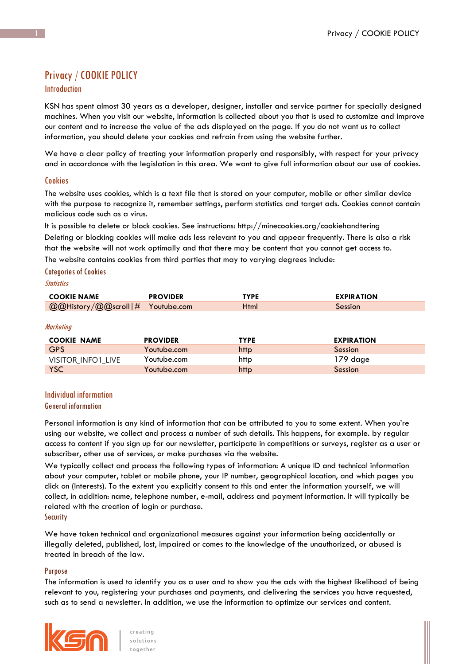# Privacy / COOKIE POLICY

# Introduction

KSN has spent almost 30 years as a developer, designer, installer and service partner for specially designed machines. When you visit our website, information is collected about you that is used to customize and improve our content and to increase the value of the ads displayed on the page. If you do not want us to collect information, you should delete your cookies and refrain from using the website further.

We have a clear policy of treating your information properly and responsibly, with respect for your privacy and in accordance with the legislation in this area. We want to give full information about our use of cookies.

# **Cookies**

The website uses cookies, which is a text file that is stored on your computer, mobile or other similar device with the purpose to recognize it, remember settings, perform statistics and target ads. Cookies cannot contain malicious code such as a virus.

It is possible to delete or block cookies. See instructions: http://minecookies.org/cookiehandtering Deleting or blocking cookies will make ads less relevant to you and appear frequently. There is also a risk that the website will not work optimally and that there may be content that you cannot get access to.

The website contains cookies from third parties that may to varying degrees include:

## Categories of Cookies

# **Statistics**

| <b>COOKIE NAME</b>               | <b>PROVIDER</b> | <b>TYPE</b> | <b>EXPIRATION</b> |
|----------------------------------|-----------------|-------------|-------------------|
| @@History/@@scroll # Youtube.com |                 | Html        | Session           |

**Marketing** 

| <b>COOKIE NAME</b> | <b>PROVIDER</b> | <b>TYPE</b> | <b>EXPIRATION</b> |
|--------------------|-----------------|-------------|-------------------|
| <b>GPS</b>         | Youtube.com     | http        | Session           |
| VISITOR INFO1 LIVE | Youtube.com     | http        | 179 dage          |
| <b>YSC</b>         | Youtube.com     | http        | Session           |

# Individual information

#### General information

Personal information is any kind of information that can be attributed to you to some extent. When you're using our website, we collect and process a number of such details. This happens, for example. by regular access to content if you sign up for our newsletter, participate in competitions or surveys, register as a user or subscriber, other use of services, or make purchases via the website.

We typically collect and process the following types of information: A unique ID and technical information about your computer, tablet or mobile phone, your IP number, geographical location, and which pages you click on (Interests). To the extent you explicitly consent to this and enter the information yourself, we will collect, in addition: name, telephone number, e-mail, address and payment information. It will typically be related with the creation of login or purchase.

**Security** 

We have taken technical and organizational measures against your information being accidentally or illegally deleted, published, lost, impaired or comes to the knowledge of the unauthorized, or abused is treated in breach of the law.

#### **Purpose**

The information is used to identify you as a user and to show you the ads with the highest likelihood of being relevant to you, registering your purchases and payments, and delivering the services you have requested, such as to send a newsletter. In addition, we use the information to optimize our services and content.